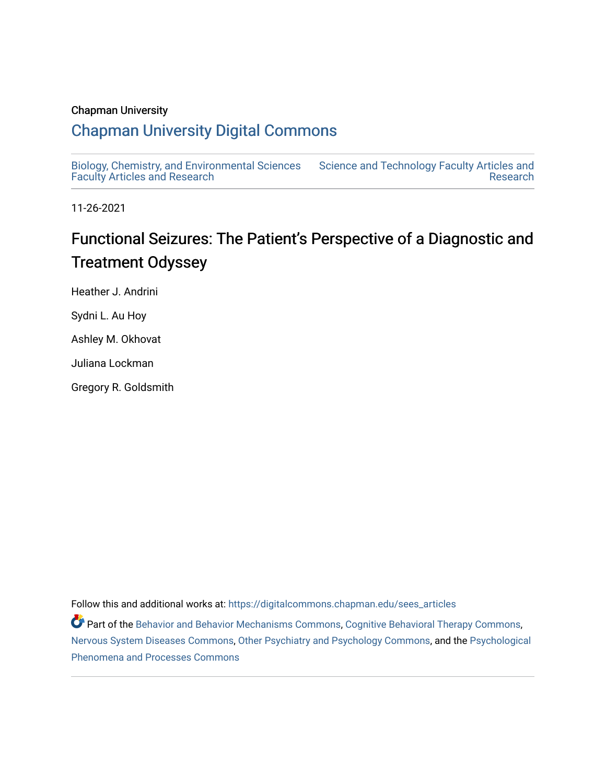### Chapman University

## [Chapman University Digital Commons](https://digitalcommons.chapman.edu/)

[Biology, Chemistry, and Environmental Sciences](https://digitalcommons.chapman.edu/sees_articles) [Faculty Articles and Research](https://digitalcommons.chapman.edu/sees_articles) [Science and Technology Faculty Articles and](https://digitalcommons.chapman.edu/science_articles)  [Research](https://digitalcommons.chapman.edu/science_articles) 

11-26-2021

# Functional Seizures: The Patient's Perspective of a Diagnostic and Treatment Odyssey

Heather J. Andrini Sydni L. Au Hoy Ashley M. Okhovat

Juliana Lockman

Gregory R. Goldsmith

Follow this and additional works at: [https://digitalcommons.chapman.edu/sees\\_articles](https://digitalcommons.chapman.edu/sees_articles?utm_source=digitalcommons.chapman.edu%2Fsees_articles%2F500&utm_medium=PDF&utm_campaign=PDFCoverPages) 

Part of the [Behavior and Behavior Mechanisms Commons,](http://network.bepress.com/hgg/discipline/963?utm_source=digitalcommons.chapman.edu%2Fsees_articles%2F500&utm_medium=PDF&utm_campaign=PDFCoverPages) [Cognitive Behavioral Therapy Commons](http://network.bepress.com/hgg/discipline/1078?utm_source=digitalcommons.chapman.edu%2Fsees_articles%2F500&utm_medium=PDF&utm_campaign=PDFCoverPages), [Nervous System Diseases Commons](http://network.bepress.com/hgg/discipline/928?utm_source=digitalcommons.chapman.edu%2Fsees_articles%2F500&utm_medium=PDF&utm_campaign=PDFCoverPages), [Other Psychiatry and Psychology Commons,](http://network.bepress.com/hgg/discipline/992?utm_source=digitalcommons.chapman.edu%2Fsees_articles%2F500&utm_medium=PDF&utm_campaign=PDFCoverPages) and the [Psychological](http://network.bepress.com/hgg/discipline/914?utm_source=digitalcommons.chapman.edu%2Fsees_articles%2F500&utm_medium=PDF&utm_campaign=PDFCoverPages)  [Phenomena and Processes Commons](http://network.bepress.com/hgg/discipline/914?utm_source=digitalcommons.chapman.edu%2Fsees_articles%2F500&utm_medium=PDF&utm_campaign=PDFCoverPages)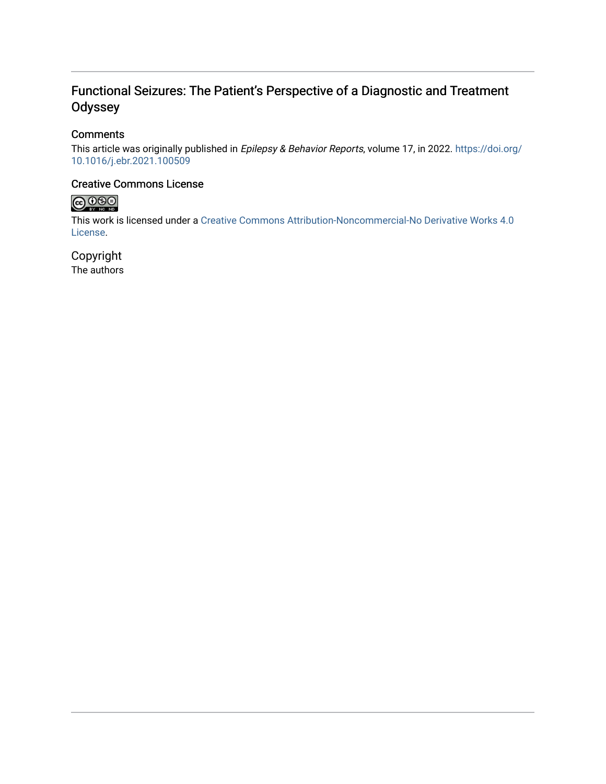### Functional Seizures: The Patient's Perspective of a Diagnostic and Treatment **Odyssey**

### **Comments**

This article was originally published in Epilepsy & Behavior Reports, volume 17, in 2022. [https://doi.org/](https://doi.org/10.1016/j.ebr.2021.100509) [10.1016/j.ebr.2021.100509](https://doi.org/10.1016/j.ebr.2021.100509) 

### Creative Commons License



This work is licensed under a [Creative Commons Attribution-Noncommercial-No Derivative Works 4.0](https://creativecommons.org/licenses/by-nc-nd/4.0/) [License](https://creativecommons.org/licenses/by-nc-nd/4.0/).

Copyright The authors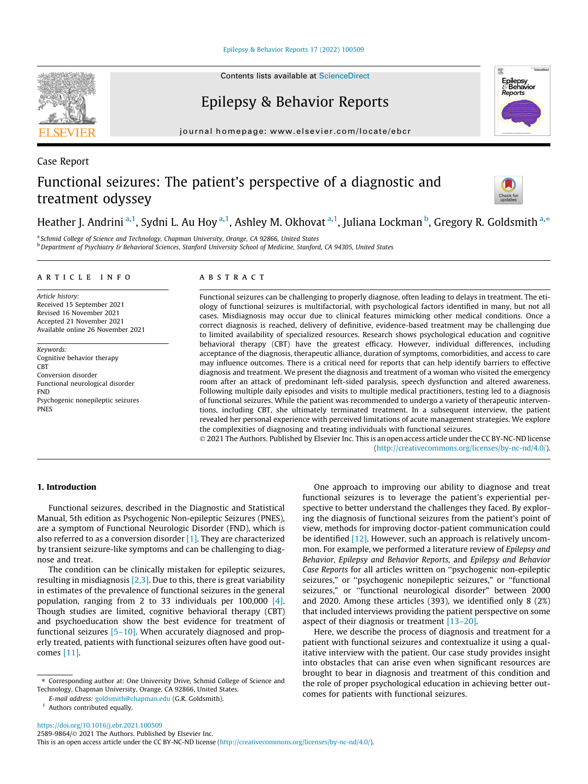[Epilepsy & Behavior Reports 17 \(2022\) 100509](https://doi.org/10.1016/j.ebr.2021.100509)

Case Report

# Epilepsy & Behavior Reports

journal homepage: [www.elsevier.com/locate/ebcr](http://www.elsevier.com/locate/ebcr)

# Functional seizures: The patient's perspective of a diagnostic and treatment odyssey

Heather J. Andrini <sup>a, 1</sup>, Sydni L. Au Hoy <sup>a, 1</sup>, Ashley M. Okhovat <sup>a, 1</sup>, Juliana Lockman <sup>b</sup>, Gregory R. Goldsmith <sup>a,\*</sup>

<sup>a</sup> Schmid College of Science and Technology, Chapman University, Orange, CA 92866, United States <sup>b</sup> Department of Psychiatry & Behavioral Sciences, Stanford University School of Medicine, Stanford, CA 94305, United States

#### article info

Article history: Received 15 September 2021 Revised 16 November 2021 Accepted 21 November 2021 Available online 26 November 2021

Keywords: Cognitive behavior therapy **CBT** Conversion disorder Functional neurological disorder FND Psychogenic nonepileptic seizures PNES

#### ABSTRACT

Functional seizures can be challenging to properly diagnose, often leading to delays in treatment. The etiology of functional seizures is multifactorial, with psychological factors identified in many, but not all cases. Misdiagnosis may occur due to clinical features mimicking other medical conditions. Once a correct diagnosis is reached, delivery of definitive, evidence-based treatment may be challenging due to limited availability of specialized resources. Research shows psychological education and cognitive behavioral therapy (CBT) have the greatest efficacy. However, individual differences, including acceptance of the diagnosis, therapeutic alliance, duration of symptoms, comorbidities, and access to care may influence outcomes. There is a critical need for reports that can help identify barriers to effective diagnosis and treatment. We present the diagnosis and treatment of a woman who visited the emergency room after an attack of predominant left-sided paralysis, speech dysfunction and altered awareness. Following multiple daily episodes and visits to multiple medical practitioners, testing led to a diagnosis of functional seizures. While the patient was recommended to undergo a variety of therapeutic interventions, including CBT, she ultimately terminated treatment. In a subsequent interview, the patient revealed her personal experience with perceived limitations of acute management strategies. We explore the complexities of diagnosing and treating individuals with functional seizures.

 2021 The Authors. Published by Elsevier Inc. This is an open access article under the CC BY-NC-ND license (<http://creativecommons.org/licenses/by-nc-nd/4.0/>).

#### 1. Introduction

Functional seizures, described in the Diagnostic and Statistical Manual, 5th edition as Psychogenic Non-epileptic Seizures (PNES), are a symptom of Functional Neurologic Disorder (FND), which is also referred to as a conversion disorder [\[1\].](#page-6-0) They are characterized by transient seizure-like symptoms and can be challenging to diagnose and treat.

The condition can be clinically mistaken for epileptic seizures, resulting in misdiagnosis [\[2,3\].](#page-6-0) Due to this, there is great variability in estimates of the prevalence of functional seizures in the general population, ranging from 2 to 33 individuals per 100,000 [\[4\].](#page-6-0) Though studies are limited, cognitive behavioral therapy (CBT) and psychoeducation show the best evidence for treatment of functional seizures  $[5-10]$ . When accurately diagnosed and properly treated, patients with functional seizures often have good outcomes [\[11\].](#page-6-0)

One approach to improving our ability to diagnose and treat functional seizures is to leverage the patient's experiential perspective to better understand the challenges they faced. By exploring the diagnosis of functional seizures from the patient's point of view, methods for improving doctor-patient communication could be identified [\[12\].](#page-6-0) However, such an approach is relatively uncommon. For example, we performed a literature review of Epilepsy and Behavior, Epilepsy and Behavior Reports, and Epilepsy and Behavior Case Reports for all articles written on ''psychogenic non-epileptic seizures," or ''psychogenic nonepileptic seizures," or ''functional seizures," or ''functional neurological disorder" between 2000 and 2020. Among these articles (393), we identified only 8 (2%) that included interviews providing the patient perspective on some aspect of their diagnosis or treatment [\[13–20\].](#page-6-0)

Here, we describe the process of diagnosis and treatment for a patient with functional seizures and contextualize it using a qualitative interview with the patient. Our case study provides insight into obstacles that can arise even when significant resources are brought to bear in diagnosis and treatment of this condition and the role of proper psychological education in achieving better outcomes for patients with functional seizures.



Epilepsy<br>& Behavior



<sup>⇑</sup> Corresponding author at: One University Drive, Schmid College of Science and Technology, Chapman University, Orange, CA 92866, United States.

E-mail address: [goldsmith@chapman.edu](mailto:goldsmith@chapman.edu) (G.R. Goldsmith).

<sup>&</sup>lt;sup>1</sup> Authors contributed equally.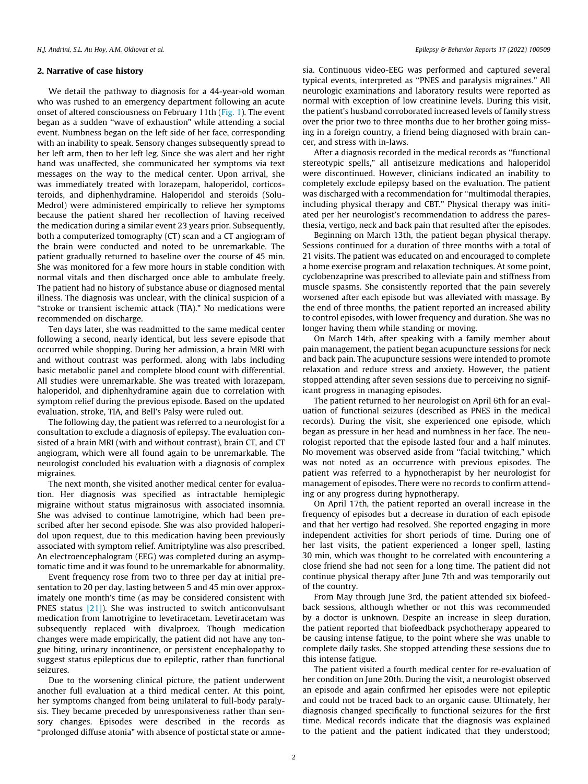#### 2. Narrative of case history

We detail the pathway to diagnosis for a 44-year-old woman who was rushed to an emergency department following an acute onset of altered consciousness on February 11th [\(Fig. 1\)](#page-4-0). The event began as a sudden ''wave of exhaustion" while attending a social event. Numbness began on the left side of her face, corresponding with an inability to speak. Sensory changes subsequently spread to her left arm, then to her left leg. Since she was alert and her right hand was unaffected, she communicated her symptoms via text messages on the way to the medical center. Upon arrival, she was immediately treated with lorazepam, haloperidol, corticosteroids, and diphenhydramine. Haloperidol and steroids (Solu-Medrol) were administered empirically to relieve her symptoms because the patient shared her recollection of having received the medication during a similar event 23 years prior. Subsequently, both a computerized tomography (CT) scan and a CT angiogram of the brain were conducted and noted to be unremarkable. The patient gradually returned to baseline over the course of 45 min. She was monitored for a few more hours in stable condition with normal vitals and then discharged once able to ambulate freely. The patient had no history of substance abuse or diagnosed mental illness. The diagnosis was unclear, with the clinical suspicion of a "stroke or transient ischemic attack (TIA)." No medications were recommended on discharge.

Ten days later, she was readmitted to the same medical center following a second, nearly identical, but less severe episode that occurred while shopping. During her admission, a brain MRI with and without contrast was performed, along with labs including basic metabolic panel and complete blood count with differential. All studies were unremarkable. She was treated with lorazepam, haloperidol, and diphenhydramine again due to correlation with symptom relief during the previous episode. Based on the updated evaluation, stroke, TIA, and Bell's Palsy were ruled out.

The following day, the patient was referred to a neurologist for a consultation to exclude a diagnosis of epilepsy. The evaluation consisted of a brain MRI (with and without contrast), brain CT, and CT angiogram, which were all found again to be unremarkable. The neurologist concluded his evaluation with a diagnosis of complex migraines.

The next month, she visited another medical center for evaluation. Her diagnosis was specified as intractable hemiplegic migraine without status migrainosus with associated insomnia. She was advised to continue lamotrigine, which had been prescribed after her second episode. She was also provided haloperidol upon request, due to this medication having been previously associated with symptom relief. Amitriptyline was also prescribed. An electroencephalogram (EEG) was completed during an asymptomatic time and it was found to be unremarkable for abnormality.

Event frequency rose from two to three per day at initial presentation to 20 per day, lasting between 5 and 45 min over approximately one month's time (as may be considered consistent with PNES status [\[21\]](#page-6-0)). She was instructed to switch anticonvulsant medication from lamotrigine to levetiracetam. Levetiracetam was subsequently replaced with divalproex. Though medication changes were made empirically, the patient did not have any tongue biting, urinary incontinence, or persistent encephalopathy to suggest status epilepticus due to epileptic, rather than functional seizures.

Due to the worsening clinical picture, the patient underwent another full evaluation at a third medical center. At this point, her symptoms changed from being unilateral to full-body paralysis. They became preceded by unresponsiveness rather than sensory changes. Episodes were described in the records as ''prolonged diffuse atonia" with absence of postictal state or amnesia. Continuous video-EEG was performed and captured several typical events, interpreted as ''PNES and paralysis migraines." All neurologic examinations and laboratory results were reported as normal with exception of low creatinine levels. During this visit, the patient's husband corroborated increased levels of family stress over the prior two to three months due to her brother going missing in a foreign country, a friend being diagnosed with brain cancer, and stress with in-laws.

After a diagnosis recorded in the medical records as ''functional stereotypic spells," all antiseizure medications and haloperidol were discontinued. However, clinicians indicated an inability to completely exclude epilepsy based on the evaluation. The patient was discharged with a recommendation for ''multimodal therapies, including physical therapy and CBT." Physical therapy was initiated per her neurologist's recommendation to address the paresthesia, vertigo, neck and back pain that resulted after the episodes.

Beginning on March 13th, the patient began physical therapy. Sessions continued for a duration of three months with a total of 21 visits. The patient was educated on and encouraged to complete a home exercise program and relaxation techniques. At some point, cyclobenzaprine was prescribed to alleviate pain and stiffness from muscle spasms. She consistently reported that the pain severely worsened after each episode but was alleviated with massage. By the end of three months, the patient reported an increased ability to control episodes, with lower frequency and duration. She was no longer having them while standing or moving.

On March 14th, after speaking with a family member about pain management, the patient began acupuncture sessions for neck and back pain. The acupuncture sessions were intended to promote relaxation and reduce stress and anxiety. However, the patient stopped attending after seven sessions due to perceiving no significant progress in managing episodes.

The patient returned to her neurologist on April 6th for an evaluation of functional seizures (described as PNES in the medical records). During the visit, she experienced one episode, which began as pressure in her head and numbness in her face. The neurologist reported that the episode lasted four and a half minutes. No movement was observed aside from "facial twitching," which was not noted as an occurrence with previous episodes. The patient was referred to a hypnotherapist by her neurologist for management of episodes. There were no records to confirm attending or any progress during hypnotherapy.

On April 17th, the patient reported an overall increase in the frequency of episodes but a decrease in duration of each episode and that her vertigo had resolved. She reported engaging in more independent activities for short periods of time. During one of her last visits, the patient experienced a longer spell, lasting 30 min, which was thought to be correlated with encountering a close friend she had not seen for a long time. The patient did not continue physical therapy after June 7th and was temporarily out of the country.

From May through June 3rd, the patient attended six biofeedback sessions, although whether or not this was recommended by a doctor is unknown. Despite an increase in sleep duration, the patient reported that biofeedback psychotherapy appeared to be causing intense fatigue, to the point where she was unable to complete daily tasks. She stopped attending these sessions due to this intense fatigue.

The patient visited a fourth medical center for re-evaluation of her condition on June 20th. During the visit, a neurologist observed an episode and again confirmed her episodes were not epileptic and could not be traced back to an organic cause. Ultimately, her diagnosis changed specifically to functional seizures for the first time. Medical records indicate that the diagnosis was explained to the patient and the patient indicated that they understood;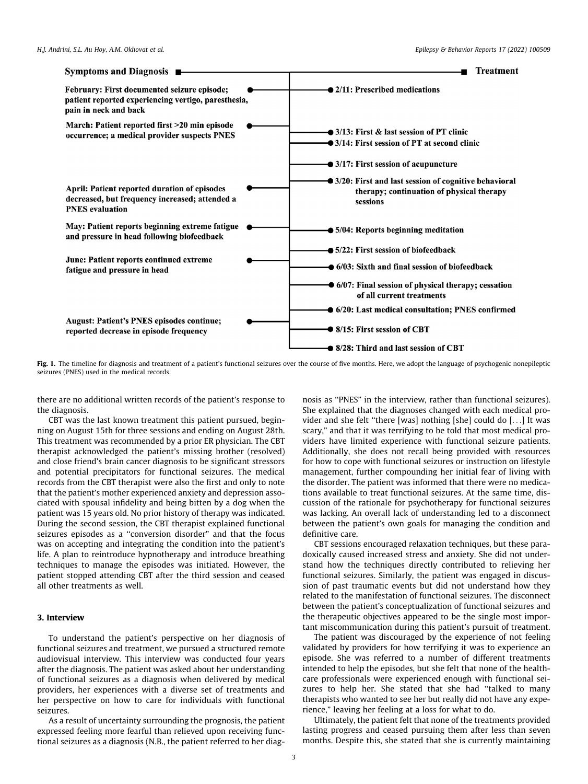<span id="page-4-0"></span>

Fig. 1. The timeline for diagnosis and treatment of a patient's functional seizures over the course of five months. Here, we adopt the language of psychogenic nonepileptic seizures (PNES) used in the medical records.

there are no additional written records of the patient's response to the diagnosis.

CBT was the last known treatment this patient pursued, beginning on August 15th for three sessions and ending on August 28th. This treatment was recommended by a prior ER physician. The CBT therapist acknowledged the patient's missing brother (resolved) and close friend's brain cancer diagnosis to be significant stressors and potential precipitators for functional seizures. The medical records from the CBT therapist were also the first and only to note that the patient's mother experienced anxiety and depression associated with spousal infidelity and being bitten by a dog when the patient was 15 years old. No prior history of therapy was indicated. During the second session, the CBT therapist explained functional seizures episodes as a ''conversion disorder" and that the focus was on accepting and integrating the condition into the patient's life. A plan to reintroduce hypnotherapy and introduce breathing techniques to manage the episodes was initiated. However, the patient stopped attending CBT after the third session and ceased all other treatments as well.

### 3. Interview

To understand the patient's perspective on her diagnosis of functional seizures and treatment, we pursued a structured remote audiovisual interview. This interview was conducted four years after the diagnosis. The patient was asked about her understanding of functional seizures as a diagnosis when delivered by medical providers, her experiences with a diverse set of treatments and her perspective on how to care for individuals with functional seizures.

As a result of uncertainty surrounding the prognosis, the patient expressed feeling more fearful than relieved upon receiving functional seizures as a diagnosis (N.B., the patient referred to her diag-

nosis as ''PNES" in the interview, rather than functional seizures). She explained that the diagnoses changed with each medical provider and she felt ''there [was] nothing [she] could do [...] It was scary," and that it was terrifying to be told that most medical providers have limited experience with functional seizure patients. Additionally, she does not recall being provided with resources for how to cope with functional seizures or instruction on lifestyle management, further compounding her initial fear of living with the disorder. The patient was informed that there were no medications available to treat functional seizures. At the same time, discussion of the rationale for psychotherapy for functional seizures was lacking. An overall lack of understanding led to a disconnect between the patient's own goals for managing the condition and definitive care.

CBT sessions encouraged relaxation techniques, but these paradoxically caused increased stress and anxiety. She did not understand how the techniques directly contributed to relieving her functional seizures. Similarly, the patient was engaged in discussion of past traumatic events but did not understand how they related to the manifestation of functional seizures. The disconnect between the patient's conceptualization of functional seizures and the therapeutic objectives appeared to be the single most important miscommunication during this patient's pursuit of treatment.

The patient was discouraged by the experience of not feeling validated by providers for how terrifying it was to experience an episode. She was referred to a number of different treatments intended to help the episodes, but she felt that none of the healthcare professionals were experienced enough with functional seizures to help her. She stated that she had ''talked to many therapists who wanted to see her but really did not have any experience," leaving her feeling at a loss for what to do.

Ultimately, the patient felt that none of the treatments provided lasting progress and ceased pursuing them after less than seven months. Despite this, she stated that she is currently maintaining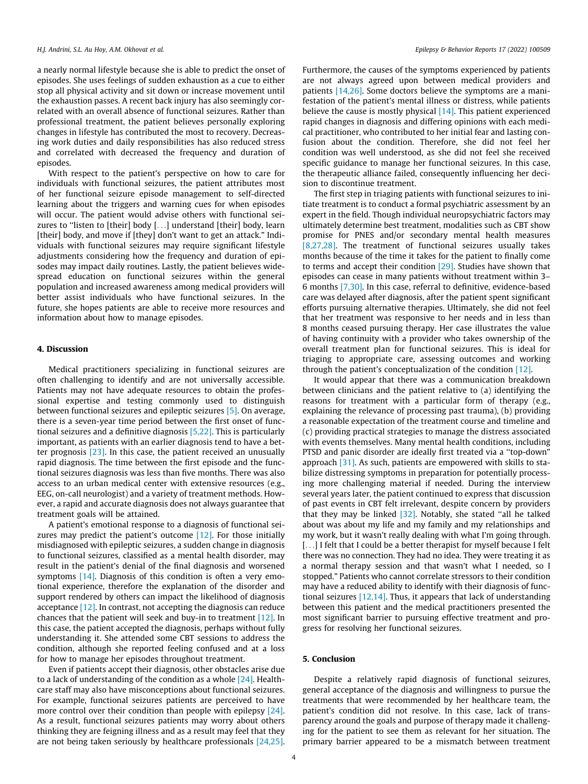a nearly normal lifestyle because she is able to predict the onset of episodes. She uses feelings of sudden exhaustion as a cue to either stop all physical activity and sit down or increase movement until the exhaustion passes. A recent back injury has also seemingly correlated with an overall absence of functional seizures. Rather than professional treatment, the patient believes personally exploring changes in lifestyle has contributed the most to recovery. Decreasing work duties and daily responsibilities has also reduced stress and correlated with decreased the frequency and duration of episodes.

With respect to the patient's perspective on how to care for individuals with functional seizures, the patient attributes most of her functional seizure episode management to self-directed learning about the triggers and warning cues for when episodes will occur. The patient would advise others with functional seizures to "listen to [their] body [...] understand [their] body, learn [their] body, and move if [they] don't want to get an attack." Individuals with functional seizures may require significant lifestyle adjustments considering how the frequency and duration of episodes may impact daily routines. Lastly, the patient believes widespread education on functional seizures within the general population and increased awareness among medical providers will better assist individuals who have functional seizures. In the future, she hopes patients are able to receive more resources and information about how to manage episodes.

#### 4. Discussion

Medical practitioners specializing in functional seizures are often challenging to identify and are not universally accessible. Patients may not have adequate resources to obtain the professional expertise and testing commonly used to distinguish between functional seizures and epileptic seizures [\[5\]](#page-6-0). On average, there is a seven-year time period between the first onset of functional seizures and a definitive diagnosis [\[5,22\].](#page-6-0) This is particularly important, as patients with an earlier diagnosis tend to have a better prognosis [\[23\]](#page-6-0). In this case, the patient received an unusually rapid diagnosis. The time between the first episode and the functional seizures diagnosis was less than five months. There was also access to an urban medical center with extensive resources (e.g., EEG, on-call neurologist) and a variety of treatment methods. However, a rapid and accurate diagnosis does not always guarantee that treatment goals will be attained.

A patient's emotional response to a diagnosis of functional seizures may predict the patient's outcome  $[12]$ . For those initially misdiagnosed with epileptic seizures, a sudden change in diagnosis to functional seizures, classified as a mental health disorder, may result in the patient's denial of the final diagnosis and worsened symptoms [\[14\].](#page-6-0) Diagnosis of this condition is often a very emotional experience, therefore the explanation of the disorder and support rendered by others can impact the likelihood of diagnosis acceptance [\[12\].](#page-6-0) In contrast, not accepting the diagnosis can reduce chances that the patient will seek and buy-in to treatment [\[12\].](#page-6-0) In this case, the patient accepted the diagnosis, perhaps without fully understanding it. She attended some CBT sessions to address the condition, although she reported feeling confused and at a loss for how to manage her episodes throughout treatment.

Even if patients accept their diagnosis, other obstacles arise due to a lack of understanding of the condition as a whole [\[24\]](#page-6-0). Healthcare staff may also have misconceptions about functional seizures. For example, functional seizures patients are perceived to have more control over their condition than people with epilepsy [\[24\].](#page-6-0) As a result, functional seizures patients may worry about others thinking they are feigning illness and as a result may feel that they are not being taken seriously by healthcare professionals [\[24,25\].](#page-6-0)

Furthermore, the causes of the symptoms experienced by patients are not always agreed upon between medical providers and patients [\[14,26\].](#page-6-0) Some doctors believe the symptoms are a manifestation of the patient's mental illness or distress, while patients believe the cause is mostly physical [\[14\].](#page-6-0) This patient experienced rapid changes in diagnosis and differing opinions with each medical practitioner, who contributed to her initial fear and lasting confusion about the condition. Therefore, she did not feel her condition was well understood, as she did not feel she received specific guidance to manage her functional seizures. In this case, the therapeutic alliance failed, consequently influencing her decision to discontinue treatment.

The first step in triaging patients with functional seizures to initiate treatment is to conduct a formal psychiatric assessment by an expert in the field. Though individual neuropsychiatric factors may ultimately determine best treatment, modalities such as CBT show promise for PNES and/or secondary mental health measures [\[8,27,28\]](#page-6-0). The treatment of functional seizures usually takes months because of the time it takes for the patient to finally come to terms and accept their condition [\[29\]](#page-6-0). Studies have shown that episodes can cease in many patients without treatment within 3– 6 months [\[7,30\]](#page-6-0). In this case, referral to definitive, evidence-based care was delayed after diagnosis, after the patient spent significant efforts pursuing alternative therapies. Ultimately, she did not feel that her treatment was responsive to her needs and in less than 8 months ceased pursuing therapy. Her case illustrates the value of having continuity with a provider who takes ownership of the overall treatment plan for functional seizures. This is ideal for triaging to appropriate care, assessing outcomes and working through the patient's conceptualization of the condition [\[12\].](#page-6-0)

It would appear that there was a communication breakdown between clinicians and the patient relative to (a) identifying the reasons for treatment with a particular form of therapy (e.g., explaining the relevance of processing past trauma), (b) providing a reasonable expectation of the treatment course and timeline and (c) providing practical strategies to manage the distress associated with events themselves. Many mental health conditions, including PTSD and panic disorder are ideally first treated via a ''top-down" approach [\[31\]](#page-6-0). As such, patients are empowered with skills to stabilize distressing symptoms in preparation for potentially processing more challenging material if needed. During the interview several years later, the patient continued to express that discussion of past events in CBT felt irrelevant, despite concern by providers that they may be linked [\[32\].](#page-6-0) Notably, she stated ''all he talked about was about my life and my family and my relationships and my work, but it wasn't really dealing with what I'm going through. [...] I felt that I could be a better therapist for myself because I felt there was no connection. They had no idea. They were treating it as a normal therapy session and that wasn't what I needed, so I stopped." Patients who cannot correlate stressors to their condition may have a reduced ability to identify with their diagnosis of functional seizures [\[12,14\].](#page-6-0) Thus, it appears that lack of understanding between this patient and the medical practitioners presented the most significant barrier to pursuing effective treatment and progress for resolving her functional seizures.

#### 5. Conclusion

Despite a relatively rapid diagnosis of functional seizures, general acceptance of the diagnosis and willingness to pursue the treatments that were recommended by her healthcare team, the patient's condition did not resolve. In this case, lack of transparency around the goals and purpose of therapy made it challenging for the patient to see them as relevant for her situation. The primary barrier appeared to be a mismatch between treatment